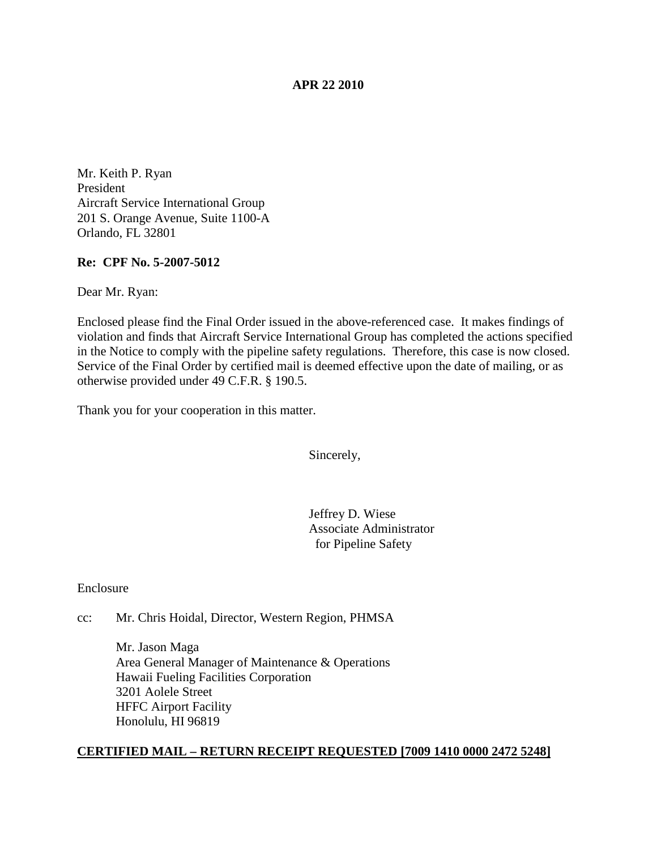## **APR 22 2010**

Mr. Keith P. Ryan President Aircraft Service International Group 201 S. Orange Avenue, Suite 1100-A Orlando, FL 32801

## **Re: CPF No. 5-2007-5012**

Dear Mr. Ryan:

Enclosed please find the Final Order issued in the above-referenced case. It makes findings of violation and finds that Aircraft Service International Group has completed the actions specified in the Notice to comply with the pipeline safety regulations. Therefore, this case is now closed. Service of the Final Order by certified mail is deemed effective upon the date of mailing, or as otherwise provided under 49 C.F.R. § 190.5.

Thank you for your cooperation in this matter.

Sincerely,

Jeffrey D. Wiese Associate Administrator for Pipeline Safety

Enclosure

cc: Mr. Chris Hoidal, Director, Western Region, PHMSA

Mr. Jason Maga Area General Manager of Maintenance & Operations Hawaii Fueling Facilities Corporation 3201 Aolele Street HFFC Airport Facility Honolulu, HI 96819

#### **CERTIFIED MAIL – RETURN RECEIPT REQUESTED [7009 1410 0000 2472 5248]**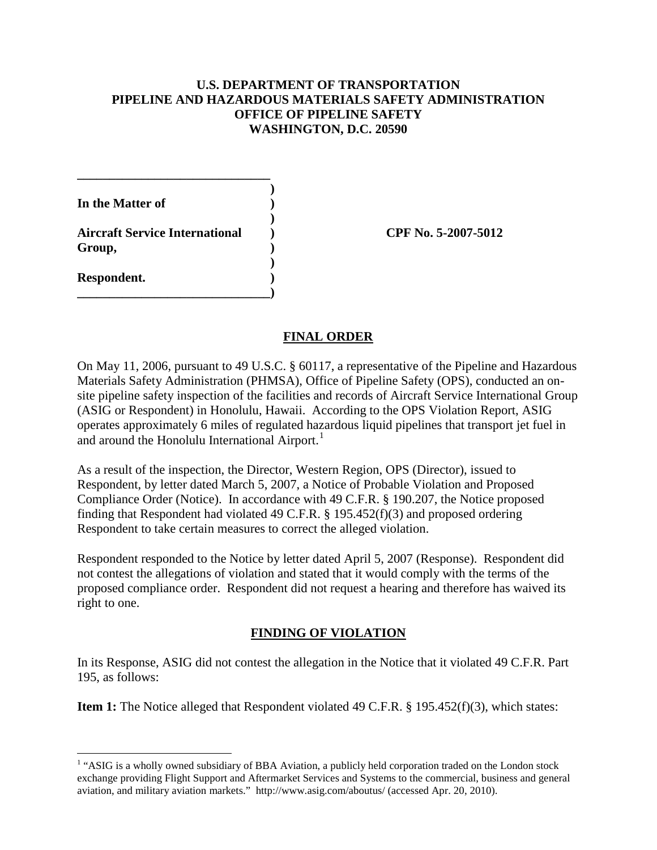# **U.S. DEPARTMENT OF TRANSPORTATION PIPELINE AND HAZARDOUS MATERIALS SAFETY ADMINISTRATION OFFICE OF PIPELINE SAFETY WASHINGTON, D.C. 20590**

**)**

**)**

**)**

**In the Matter of ) Aircraft Service International ) CPF No. 5-2007-5012 Group, ) Respondent. )**

**\_\_\_\_\_\_\_\_\_\_\_\_\_\_\_\_\_\_\_\_\_\_\_\_\_\_\_\_\_\_)**

**\_\_\_\_\_\_\_\_\_\_\_\_\_\_\_\_\_\_\_\_\_\_\_\_\_\_\_\_\_\_**

# **FINAL ORDER**

On May 11, 2006, pursuant to 49 U.S.C. § 60117, a representative of the Pipeline and Hazardous Materials Safety Administration (PHMSA), Office of Pipeline Safety (OPS), conducted an onsite pipeline safety inspection of the facilities and records of Aircraft Service International Group (ASIG or Respondent) in Honolulu, Hawaii. According to the OPS Violation Report, ASIG operates approximately 6 miles of regulated hazardous liquid pipelines that transport jet fuel in and around the Honolulu International Airport.<sup>[1](#page-1-0)</sup>

As a result of the inspection, the Director, Western Region, OPS (Director), issued to Respondent, by letter dated March 5, 2007, a Notice of Probable Violation and Proposed Compliance Order (Notice). In accordance with 49 C.F.R. § 190.207, the Notice proposed finding that Respondent had violated 49 C.F.R. § 195.452(f)(3) and proposed ordering Respondent to take certain measures to correct the alleged violation.

Respondent responded to the Notice by letter dated April 5, 2007 (Response). Respondent did not contest the allegations of violation and stated that it would comply with the terms of the proposed compliance order. Respondent did not request a hearing and therefore has waived its right to one.

# **FINDING OF VIOLATION**

In its Response, ASIG did not contest the allegation in the Notice that it violated 49 C.F.R. Part 195, as follows:

**Item 1:** The Notice alleged that Respondent violated 49 C.F.R. § 195.452(f)(3), which states:

<span id="page-1-0"></span><sup>&</sup>lt;sup>1</sup> "ASIG is a wholly owned subsidiary of BBA Aviation, a publicly held corporation traded on the London stock exchange providing Flight Support and Aftermarket Services and Systems to the commercial, business and general aviation, and military aviation markets." http://www.asig.com/aboutus/ (accessed Apr. 20, 2010).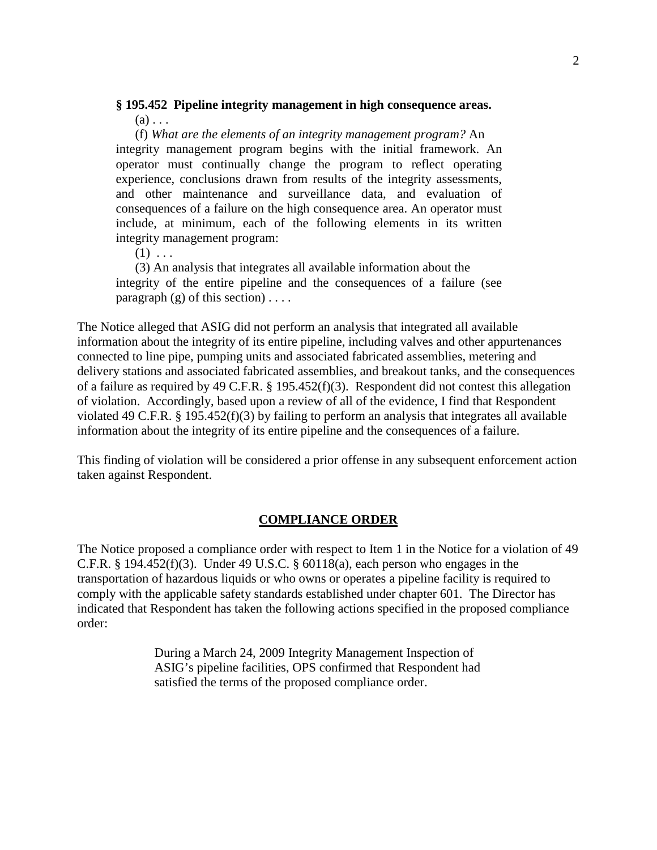#### **§ 195.452 Pipeline integrity management in high consequence areas.**  $(a)$ ...

(f) *What are the elements of an integrity management program?* An integrity management program begins with the initial framework. An operator must continually change the program to reflect operating experience, conclusions drawn from results of the integrity assessments, and other maintenance and surveillance data, and evaluation of consequences of a failure on the high consequence area. An operator must include, at minimum, each of the following elements in its written integrity management program:

 $(1) \ldots$ 

(3) An analysis that integrates all available information about the integrity of the entire pipeline and the consequences of a failure (see paragraph  $(g)$  of this section) ....

The Notice alleged that ASIG did not perform an analysis that integrated all available information about the integrity of its entire pipeline, including valves and other appurtenances connected to line pipe, pumping units and associated fabricated assemblies, metering and delivery stations and associated fabricated assemblies, and breakout tanks, and the consequences of a failure as required by 49 C.F.R. § 195.452(f)(3). Respondent did not contest this allegation of violation. Accordingly, based upon a review of all of the evidence, I find that Respondent violated 49 C.F.R. § 195.452(f)(3) by failing to perform an analysis that integrates all available information about the integrity of its entire pipeline and the consequences of a failure.

This finding of violation will be considered a prior offense in any subsequent enforcement action taken against Respondent.

#### **COMPLIANCE ORDER**

The Notice proposed a compliance order with respect to Item 1 in the Notice for a violation of 49 C.F.R.  $\S$  194.452(f)(3). Under 49 U.S.C.  $\S$  60118(a), each person who engages in the transportation of hazardous liquids or who owns or operates a pipeline facility is required to comply with the applicable safety standards established under chapter 601. The Director has indicated that Respondent has taken the following actions specified in the proposed compliance order:

> During a March 24, 2009 Integrity Management Inspection of ASIG's pipeline facilities, OPS confirmed that Respondent had satisfied the terms of the proposed compliance order.